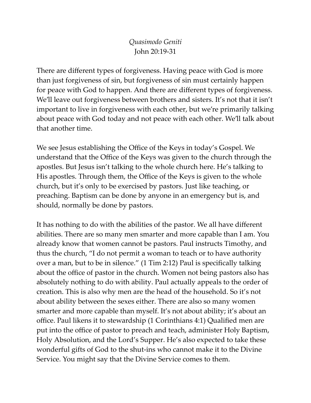*Quasimodo Geniti* John 20:19-31

There are different types of forgiveness. Having peace with God is more than just forgiveness of sin, but forgiveness of sin must certainly happen for peace with God to happen. And there are different types of forgiveness. We'll leave out forgiveness between brothers and sisters. It's not that it isn't important to live in forgiveness with each other, but we're primarily talking about peace with God today and not peace with each other. We'll talk about that another time.

We see Jesus establishing the Office of the Keys in today's Gospel. We understand that the Office of the Keys was given to the church through the apostles. But Jesus isn't talking to the whole church here. He's talking to His apostles. Through them, the Office of the Keys is given to the whole church, but it's only to be exercised by pastors. Just like teaching, or preaching. Baptism can be done by anyone in an emergency but is, and should, normally be done by pastors.

It has nothing to do with the abilities of the pastor. We all have different abilities. There are so many men smarter and more capable than I am. You already know that women cannot be pastors. Paul instructs Timothy, and thus the church, "I do not permit a woman to teach or to have authority over a man, but to be in silence." (1 Tim 2:12) Paul is specifically talking about the office of pastor in the church. Women not being pastors also has absolutely nothing to do with ability. Paul actually appeals to the order of creation. This is also why men are the head of the household. So it's not about ability between the sexes either. There are also so many women smarter and more capable than myself. It's not about ability; it's about an office. Paul likens it to stewardship (1 Corinthians 4:1) Qualified men are put into the office of pastor to preach and teach, administer Holy Baptism, Holy Absolution, and the Lord's Supper. He's also expected to take these wonderful gifts of God to the shut-ins who cannot make it to the Divine Service. You might say that the Divine Service comes to them.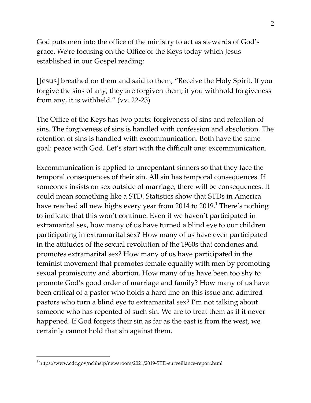God puts men into the office of the ministry to act as stewards of God's grace. We're focusing on the Office of the Keys today which Jesus established in our Gospel reading:

[Jesus] breathed on them and said to them, "Receive the Holy Spirit. If you forgive the sins of any, they are forgiven them; if you withhold forgiveness from any, it is withheld." (vv. 22-23)

The Office of the Keys has two parts: forgiveness of sins and retention of sins. The forgiveness of sins is handled with confession and absolution. The retention of sins is handled with excommunication. Both have the same goal: peace with God. Let's start with the difficult one: excommunication.

Excommunication is applied to unrepentant sinners so that they face the temporal consequences of their sin. All sin has temporal consequences. If someones insists on sex outside of marriage, there will be consequences. It could mean something like a STD. Statistics show that STDs in America have reached all new highs every year from 2014 to 2019.<sup>1</sup> There's nothing to indicate that this won't continue. Even if we haven't participated in extramarital sex, how many of us have turned a blind eye to our children participating in extramarital sex? How many of us have even participated in the attitudes of the sexual revolution of the 1960s that condones and promotes extramarital sex? How many of us have participated in the feminist movement that promotes female equality with men by promoting sexual promiscuity and abortion. How many of us have been too shy to promote God's good order of marriage and family? How many of us have been critical of a pastor who holds a hard line on this issue and admired pastors who turn a blind eye to extramarital sex? I'm not talking about someone who has repented of such sin. We are to treat them as if it never happened. If God forgets their sin as far as the east is from the west, we certainly cannot hold that sin against them.

 $1$  https://www.cdc.gov/nchhstp/newsroom/2021/2019-STD-surveillance-report.html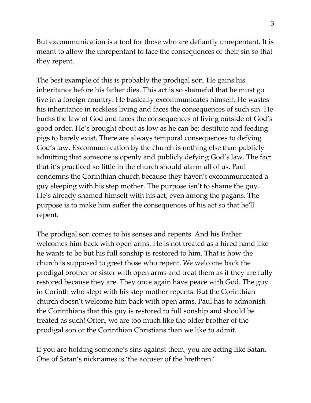But excommunication is a tool for those who are defiantly unrepentant. It is meant to allow the unrepentant to face the consequences of their sin so that they repent.

The best example of this is probably the prodigal son. He gains his inheritance before his father dies. This act is so shameful that he must go live in a foreign country. He basically excommunicates himself. He wastes his inheritance in reckless living and faces the consequences of such sin. He bucks the law of God and faces the consequences of living outside of God's good order. He's brought about as low as he can be; destitute and feeding pigs to barely exist. There are always temporal consequences to defying God's law. Excommunication by the church is nothing else than publicly admitting that someone is openly and publicly defying God's law. The fact that it's practiced so little in the church should alarm all of us. Paul condemns the Corinthian church because they haven't excommunicated a guy sleeping with his step mother. The purpose isn't to shame the guy. He's already shamed himself with his act; even among the pagans. The purpose is to make him suffer the consequences of his act so that he'll repent.

The prodigal son comes to his senses and repents. And his Father welcomes him back with open arms. He is not treated as a hired hand like he wants to be but his full sonship is restored to him. That is how the church is supposed to greet those who repent. We welcome back the prodigal brother or sister with open arms and treat them as if they are fully restored because they are. They once again have peace with God. The guy in Corinth who slept with his step mother repents. But the Corinthian church doesn't welcome him back with open arms. Paul has to admonish the Corinthians that this guy is restored to full sonship and should be treated as such! Often, we are too much like the older brother of the prodigal son or the Corinthian Christians than we like to admit.

If you are holding someone's sins against them, you are acting like Satan. One of Satan's nicknames is 'the accuser of the brethren.'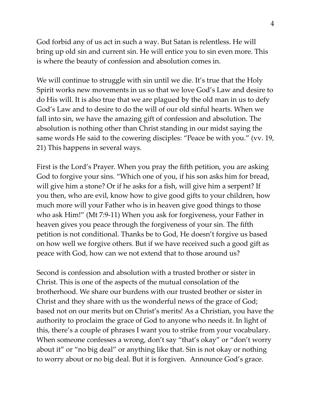God forbid any of us act in such a way. But Satan is relentless. He will bring up old sin and current sin. He will entice you to sin even more. This is where the beauty of confession and absolution comes in.

We will continue to struggle with sin until we die. It's true that the Holy Spirit works new movements in us so that we love God's Law and desire to do His will. It is also true that we are plagued by the old man in us to defy God's Law and to desire to do the will of our old sinful hearts. When we fall into sin, we have the amazing gift of confession and absolution. The absolution is nothing other than Christ standing in our midst saying the same words He said to the cowering disciples: "Peace be with you." (vv. 19, 21) This happens in several ways.

First is the Lord's Prayer. When you pray the fifth petition, you are asking God to forgive your sins. "Which one of you, if his son asks him for bread, will give him a stone? Or if he asks for a fish, will give him a serpent? If you then, who are evil, know how to give good gifts to your children, how much more will your Father who is in heaven give good things to those who ask Him!" (Mt 7:9-11) When you ask for forgiveness, your Father in heaven gives you peace through the forgiveness of your sin. The fifth petition is not conditional. Thanks be to God, He doesn't forgive us based on how well we forgive others. But if we have received such a good gift as peace with God, how can we not extend that to those around us?

Second is confession and absolution with a trusted brother or sister in Christ. This is one of the aspects of the mutual consolation of the brotherhood. We share our burdens with our trusted brother or sister in Christ and they share with us the wonderful news of the grace of God; based not on our merits but on Christ's merits! As a Christian, you have the authority to proclaim the grace of God to anyone who needs it. In light of this, there's a couple of phrases I want you to strike from your vocabulary. When someone confesses a wrong, don't say "that's okay" or "don't worry about it" or "no big deal" or anything like that. Sin is not okay or nothing to worry about or no big deal. But it is forgiven. Announce God's grace.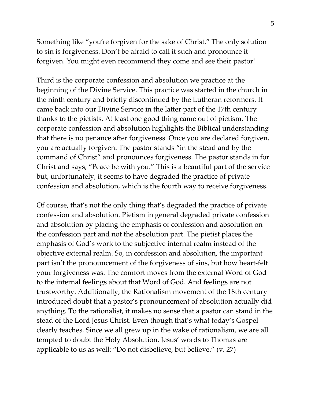Something like "you're forgiven for the sake of Christ." The only solution to sin is forgiveness. Don't be afraid to call it such and pronounce it forgiven. You might even recommend they come and see their pastor!

Third is the corporate confession and absolution we practice at the beginning of the Divine Service. This practice was started in the church in the ninth century and briefly discontinued by the Lutheran reformers. It came back into our Divine Service in the latter part of the 17th century thanks to the pietists. At least one good thing came out of pietism. The corporate confession and absolution highlights the Biblical understanding that there is no penance after forgiveness. Once you are declared forgiven, you are actually forgiven. The pastor stands "in the stead and by the command of Christ" and pronounces forgiveness. The pastor stands in for Christ and says, "Peace be with you." This is a beautiful part of the service but, unfortunately, it seems to have degraded the practice of private confession and absolution, which is the fourth way to receive forgiveness.

Of course, that's not the only thing that's degraded the practice of private confession and absolution. Pietism in general degraded private confession and absolution by placing the emphasis of confession and absolution on the confession part and not the absolution part. The pietist places the emphasis of God's work to the subjective internal realm instead of the objective external realm. So, in confession and absolution, the important part isn't the pronouncement of the forgiveness of sins, but how heart-felt your forgiveness was. The comfort moves from the external Word of God to the internal feelings about that Word of God. And feelings are not trustworthy. Additionally, the Rationalism movement of the 18th century introduced doubt that a pastor's pronouncement of absolution actually did anything. To the rationalist, it makes no sense that a pastor can stand in the stead of the Lord Jesus Christ. Even though that's what today's Gospel clearly teaches. Since we all grew up in the wake of rationalism, we are all tempted to doubt the Holy Absolution. Jesus' words to Thomas are applicable to us as well: "Do not disbelieve, but believe." (v. 27)